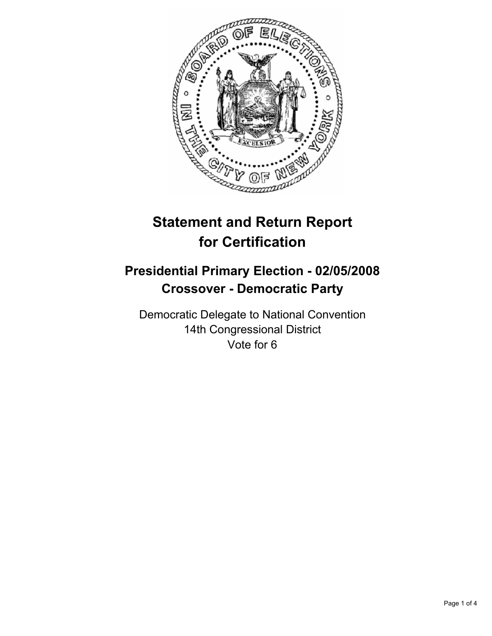

# **Statement and Return Report for Certification**

## **Presidential Primary Election - 02/05/2008 Crossover - Democratic Party**

Democratic Delegate to National Convention 14th Congressional District Vote for 6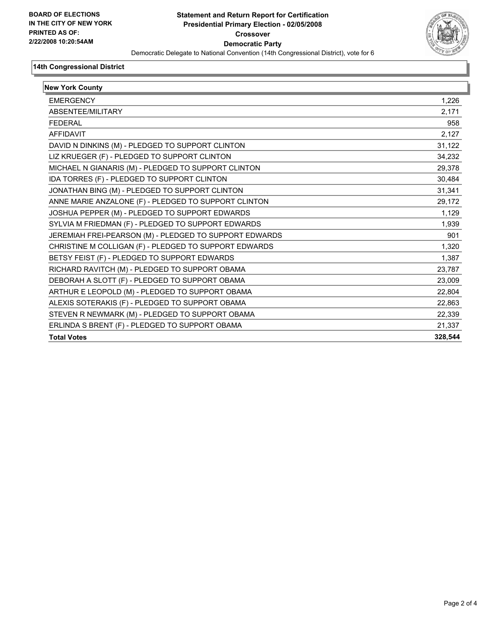

#### **14th Congressional District**

| <b>New York County</b>                                 |         |
|--------------------------------------------------------|---------|
| <b>EMERGENCY</b>                                       | 1,226   |
| ABSENTEE/MILITARY                                      | 2,171   |
| <b>FFDFRAI</b>                                         | 958     |
| <b>AFFIDAVIT</b>                                       | 2.127   |
| DAVID N DINKINS (M) - PLEDGED TO SUPPORT CLINTON       | 31,122  |
| LIZ KRUEGER (F) - PLEDGED TO SUPPORT CLINTON           | 34,232  |
| MICHAEL N GIANARIS (M) - PLEDGED TO SUPPORT CLINTON    | 29,378  |
| IDA TORRES (F) - PLEDGED TO SUPPORT CLINTON            | 30,484  |
| JONATHAN BING (M) - PLEDGED TO SUPPORT CLINTON         | 31,341  |
| ANNE MARIE ANZALONE (F) - PLEDGED TO SUPPORT CLINTON   | 29,172  |
| JOSHUA PEPPER (M) - PLEDGED TO SUPPORT EDWARDS         | 1.129   |
| SYLVIA M FRIEDMAN (F) - PLEDGED TO SUPPORT EDWARDS     | 1,939   |
| JEREMIAH FREI-PEARSON (M) - PLEDGED TO SUPPORT EDWARDS | 901     |
| CHRISTINE M COLLIGAN (F) - PLEDGED TO SUPPORT EDWARDS  | 1,320   |
| BETSY FEIST (F) - PLEDGED TO SUPPORT EDWARDS           | 1,387   |
| RICHARD RAVITCH (M) - PLEDGED TO SUPPORT OBAMA         | 23,787  |
| DEBORAH A SLOTT (F) - PLEDGED TO SUPPORT OBAMA         | 23,009  |
| ARTHUR E LEOPOLD (M) - PLEDGED TO SUPPORT OBAMA        | 22,804  |
| ALEXIS SOTERAKIS (F) - PLEDGED TO SUPPORT OBAMA        | 22,863  |
| STEVEN R NEWMARK (M) - PLEDGED TO SUPPORT OBAMA        | 22,339  |
| ERLINDA S BRENT (F) - PLEDGED TO SUPPORT OBAMA         | 21,337  |
| <b>Total Votes</b>                                     | 328,544 |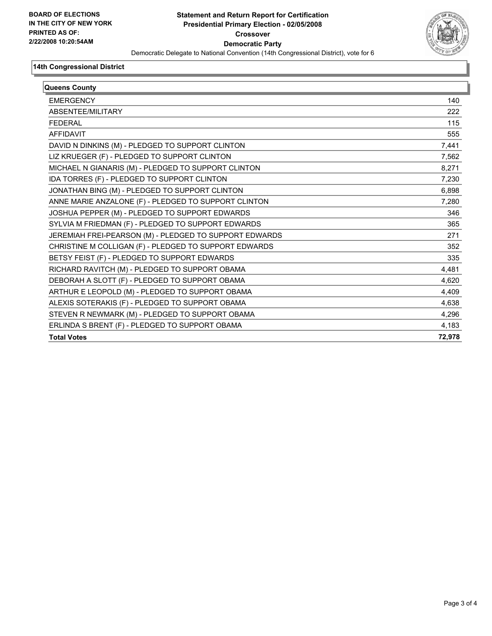

#### **14th Congressional District**

| Queens County                                          |        |
|--------------------------------------------------------|--------|
| <b>EMERGENCY</b>                                       | 140    |
| ABSENTEE/MILITARY                                      | 222    |
| <b>FEDERAL</b>                                         | 115    |
| AFFIDAVIT                                              | 555    |
| DAVID N DINKINS (M) - PLEDGED TO SUPPORT CLINTON       | 7,441  |
| LIZ KRUEGER (F) - PLEDGED TO SUPPORT CLINTON           | 7,562  |
| MICHAEL N GIANARIS (M) - PLEDGED TO SUPPORT CLINTON    | 8,271  |
| IDA TORRES (F) - PLEDGED TO SUPPORT CLINTON            | 7,230  |
| JONATHAN BING (M) - PLEDGED TO SUPPORT CLINTON         | 6,898  |
| ANNE MARIE ANZALONE (F) - PLEDGED TO SUPPORT CLINTON   | 7,280  |
| JOSHUA PEPPER (M) - PLEDGED TO SUPPORT EDWARDS         | 346    |
| SYLVIA M FRIEDMAN (F) - PLEDGED TO SUPPORT EDWARDS     | 365    |
| JEREMIAH FREI-PEARSON (M) - PLEDGED TO SUPPORT EDWARDS | 271    |
| CHRISTINE M COLLIGAN (F) - PLEDGED TO SUPPORT EDWARDS  | 352    |
| BETSY FEIST (F) - PLEDGED TO SUPPORT EDWARDS           | 335    |
| RICHARD RAVITCH (M) - PLEDGED TO SUPPORT OBAMA         | 4,481  |
| DEBORAH A SLOTT (F) - PLEDGED TO SUPPORT OBAMA         | 4,620  |
| ARTHUR E LEOPOLD (M) - PLEDGED TO SUPPORT OBAMA        | 4,409  |
| ALEXIS SOTERAKIS (F) - PLEDGED TO SUPPORT OBAMA        | 4,638  |
| STEVEN R NEWMARK (M) - PLEDGED TO SUPPORT OBAMA        | 4,296  |
| ERLINDA S BRENT (F) - PLEDGED TO SUPPORT OBAMA         | 4,183  |
| <b>Total Votes</b>                                     | 72,978 |